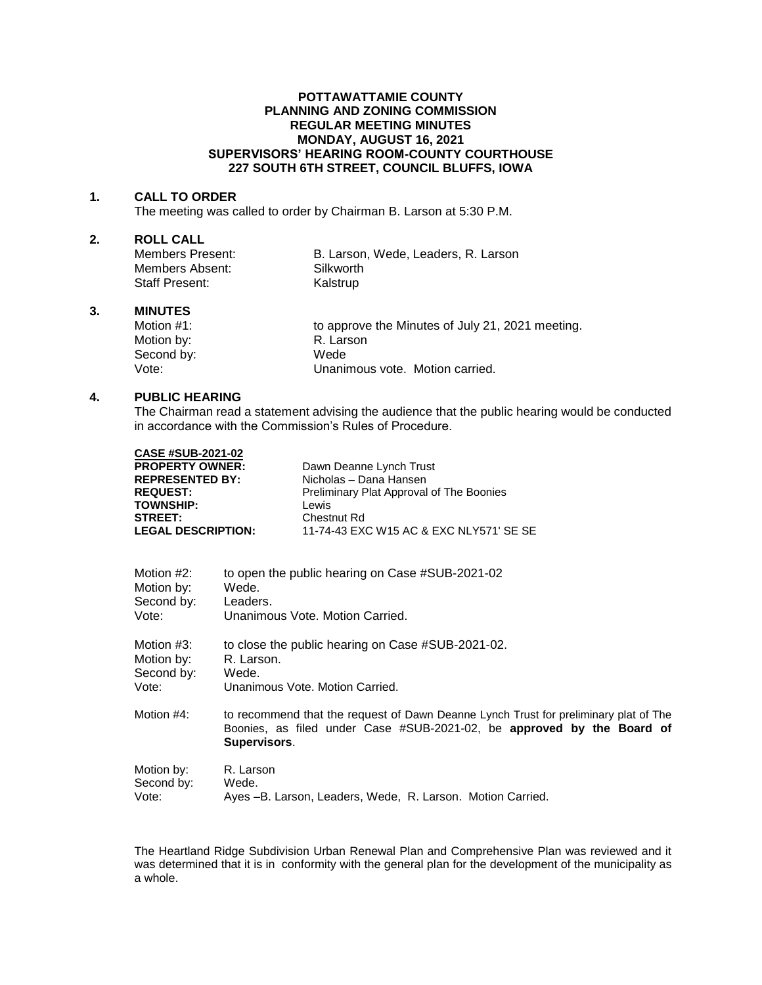#### **POTTAWATTAMIE COUNTY PLANNING AND ZONING COMMISSION REGULAR MEETING MINUTES MONDAY, AUGUST 16, 2021 SUPERVISORS' HEARING ROOM-COUNTY COURTHOUSE 227 SOUTH 6TH STREET, COUNCIL BLUFFS, IOWA**

#### **1. CALL TO ORDER**

The meeting was called to order by Chairman B. Larson at 5:30 P.M.

# **2. ROLL CALL**

Members Absent: Silkworth Staff Present: Kalstrup

B. Larson, Wede, Leaders, R. Larson,

#### **3. MINUTES**

Motion #1: **to approve the Minutes of July 21, 2021 meeting.** Motion by: R. Larson Second by: Wede<br>Vote: Unanir Unanimous vote. Motion carried.

### **4. PUBLIC HEARING**

The Chairman read a statement advising the audience that the public hearing would be conducted in accordance with the Commission's Rules of Procedure.

| <b>CASE #SUB-2021-02</b>  |                                          |
|---------------------------|------------------------------------------|
| <b>PROPERTY OWNER:</b>    | Dawn Deanne Lynch Trust                  |
| <b>REPRESENTED BY:</b>    | Nicholas - Dana Hansen                   |
| <b>REQUEST:</b>           | Preliminary Plat Approval of The Boonies |
| <b>TOWNSHIP:</b>          | Lewis                                    |
| <b>STREET:</b>            | Chestnut Rd                              |
| <b>LEGAL DESCRIPTION:</b> | 11-74-43 EXC W15 AC & EXC NLY571' SE SE  |

| Motion #2: | to open the public hearing on Case #SUB-2021-02                                                                                                                                |
|------------|--------------------------------------------------------------------------------------------------------------------------------------------------------------------------------|
| Motion by: | Wede.                                                                                                                                                                          |
| Second by: | Leaders.                                                                                                                                                                       |
| Vote:      | Unanimous Vote, Motion Carried.                                                                                                                                                |
| Motion #3: | to close the public hearing on Case #SUB-2021-02.                                                                                                                              |
| Motion by: | R. Larson.                                                                                                                                                                     |
| Second by: | Wede.                                                                                                                                                                          |
| Vote:      | Unanimous Vote, Motion Carried.                                                                                                                                                |
| Motion #4: | to recommend that the request of Dawn Deanne Lynch Trust for preliminary plat of The<br>Boonies, as filed under Case #SUB-2021-02, be approved by the Board of<br>Supervisors. |
| Motion by: | R. Larson                                                                                                                                                                      |
| Second by: | Wede.                                                                                                                                                                          |
| Vote:      | Ayes -B. Larson, Leaders, Wede, R. Larson. Motion Carried.                                                                                                                     |

The Heartland Ridge Subdivision Urban Renewal Plan and Comprehensive Plan was reviewed and it was determined that it is in conformity with the general plan for the development of the municipality as a whole.